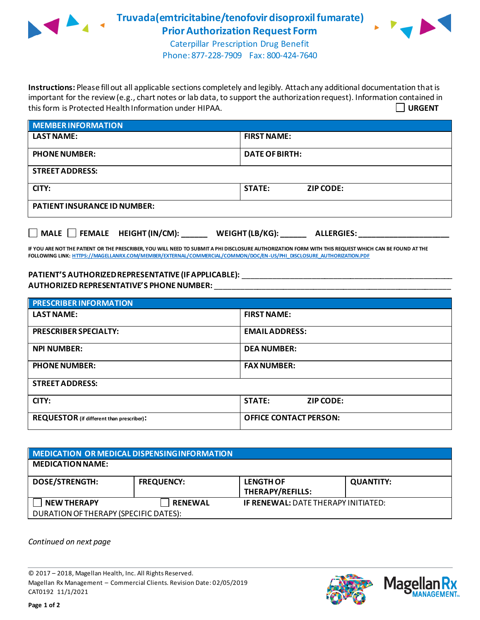

**Truvada(emtricitabine/tenofovir disoproxil fumarate) Prior Authorization Request Form**



Caterpillar Prescription Drug Benefit Phone: 877-228-7909 Fax: 800-424-7640

**Instructions:** Please fill out all applicable sections completely and legibly. Attach any additional documentation that is important for the review (e.g., chart notes or lab data, to support the authorization request). Information contained in this form is Protected Health Information under HIPAA. **URGENT**

| <b>MEMBER INFORMATION</b>           |                                   |  |
|-------------------------------------|-----------------------------------|--|
| <b>LAST NAME:</b>                   | <b>FIRST NAME:</b>                |  |
| <b>PHONE NUMBER:</b>                | <b>DATE OF BIRTH:</b>             |  |
| <b>STREET ADDRESS:</b>              |                                   |  |
| CITY:                               | <b>STATE:</b><br><b>ZIP CODE:</b> |  |
| <b>PATIENT INSURANCE ID NUMBER:</b> |                                   |  |
|                                     |                                   |  |

**IF YOU ARE NOT THE PATIENT OR THE PRESCRIBER, YOU WILL NEED TO SUBMIT A PHI DISCLOSURE AUTHORIZATION FORM WITH THIS REQUEST WHICH CAN BE FOUND AT THE FOLLOWING LINK[: HTTPS://MAGELLANRX.COM/MEMBER/EXTERNAL/COMMERCIAL/COMMON/DOC/EN-US/PHI\\_DISCLOSURE\\_AUTHORIZATION.PDF](https://magellanrx.com/member/external/commercial/common/doc/en-us/PHI_Disclosure_Authorization.pdf)**

**MALE FEMALE HEIGHT (IN/CM): \_\_\_\_\_\_ WEIGHT (LB/KG): \_\_\_\_\_\_ ALLERGIES: \_\_\_\_\_\_\_\_\_\_\_\_\_\_\_\_\_\_\_\_\_**

PATIENT'S AUTHORIZED REPRESENTATIVE (IF APPLICABLE): \_\_\_\_\_\_\_\_\_\_\_\_\_\_\_\_\_\_\_\_\_\_\_\_\_\_\_ **AUTHORIZED REPRESENTATIVE'S PHONE NUMBER:** \_\_\_\_\_\_\_\_\_\_\_\_\_\_\_\_\_\_\_\_\_\_\_\_\_\_\_\_\_\_\_\_\_\_\_\_\_\_\_\_\_\_\_\_\_\_\_\_\_\_\_\_\_\_\_

| <b>PRESCRIBER INFORMATION</b>                    |                               |  |  |
|--------------------------------------------------|-------------------------------|--|--|
| <b>LAST NAME:</b>                                | <b>FIRST NAME:</b>            |  |  |
| <b>PRESCRIBER SPECIALTY:</b>                     | <b>EMAILADDRESS:</b>          |  |  |
| <b>NPI NUMBER:</b>                               | <b>DEA NUMBER:</b>            |  |  |
| <b>PHONE NUMBER:</b>                             | <b>FAX NUMBER:</b>            |  |  |
| <b>STREET ADDRESS:</b>                           |                               |  |  |
| CITY:                                            | <b>STATE:</b><br>ZIP CODE:    |  |  |
| <b>REQUESTOR</b> (if different than prescriber): | <b>OFFICE CONTACT PERSON:</b> |  |  |

| MEDICATION OR MEDICAL DISPENSING INFORMATION |                   |                                            |                  |  |  |
|----------------------------------------------|-------------------|--------------------------------------------|------------------|--|--|
| <b>MEDICATION NAME:</b>                      |                   |                                            |                  |  |  |
| <b>DOSE/STRENGTH:</b>                        | <b>FREQUENCY:</b> | <b>LENGTH OF</b><br>THERAPY/REFILLS:       | <b>QUANTITY:</b> |  |  |
| <b>NEW THERAPY</b>                           | <b>RENEWAL</b>    | <b>IF RENEWAL: DATE THERAPY INITIATED:</b> |                  |  |  |
| DURATION OF THERAPY (SPECIFIC DATES):        |                   |                                            |                  |  |  |

*Continued on next page*

© 2017 – 2018, Magellan Health, Inc. All Rights Reserved. Magellan Rx Management – Commercial Clients. Revision Date: 02/05/2019 CAT0192 11/1/2021